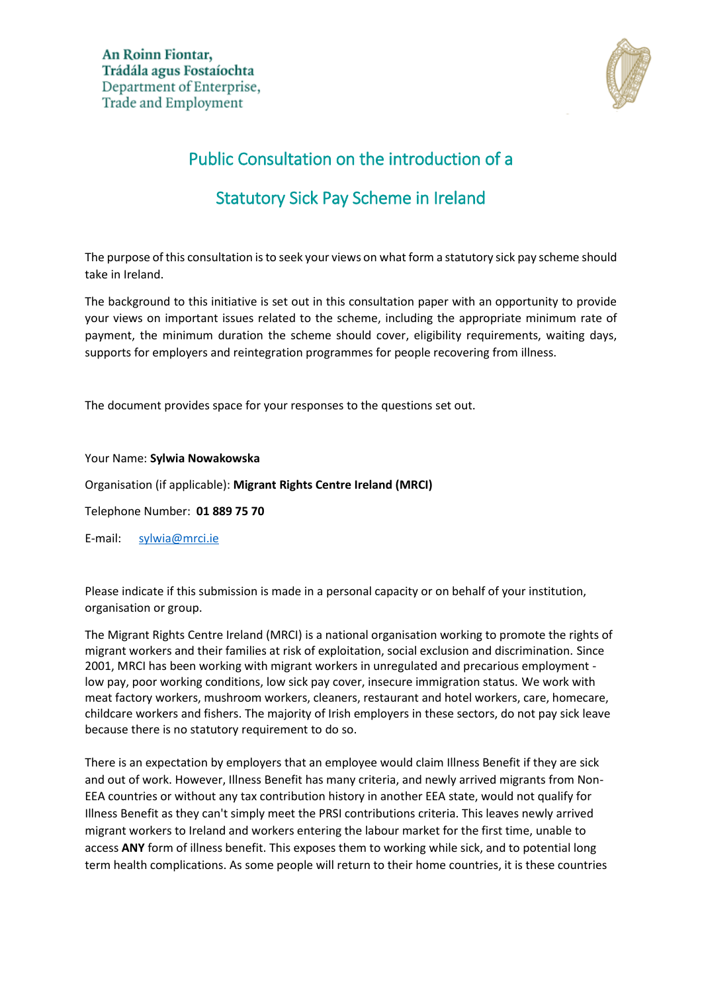

# Public Consultation on the introduction of a

### Statutory Sick Pay Scheme in Ireland

The purpose of this consultation is to seek your views on what form a statutory sick pay scheme should take in Ireland.

The background to this initiative is set out in this consultation paper with an opportunity to provide your views on important issues related to the scheme, including the appropriate minimum rate of payment, the minimum duration the scheme should cover, eligibility requirements, waiting days, supports for employers and reintegration programmes for people recovering from illness.

The document provides space for your responses to the questions set out.

Your Name: **Sylwia Nowakowska**

Organisation (if applicable): **Migrant Rights Centre Ireland (MRCI)**

Telephone Number: **01 889 75 70**

E-mail: [sylwia@mrci.ie](mailto:sylwia@mrci.ie)

Please indicate if this submission is made in a personal capacity or on behalf of your institution, organisation or group.

The Migrant Rights Centre Ireland (MRCI) is a national organisation working to promote the rights of migrant workers and their families at risk of exploitation, social exclusion and discrimination. Since 2001, MRCI has been working with migrant workers in unregulated and precarious employment low pay, poor working conditions, low sick pay cover, insecure immigration status. We work with meat factory workers, mushroom workers, cleaners, restaurant and hotel workers, care, homecare, childcare workers and fishers. The majority of Irish employers in these sectors, do not pay sick leave because there is no statutory requirement to do so.

There is an expectation by employers that an employee would claim Illness Benefit if they are sick and out of work. However, Illness Benefit has many criteria, and newly arrived migrants from Non-EEA countries or without any tax contribution history in another EEA state, would not qualify for Illness Benefit as they can't simply meet the PRSI contributions criteria. This leaves newly arrived migrant workers to Ireland and workers entering the labour market for the first time, unable to access **ANY** form of illness benefit. This exposes them to working while sick, and to potential long term health complications. As some people will return to their home countries, it is these countries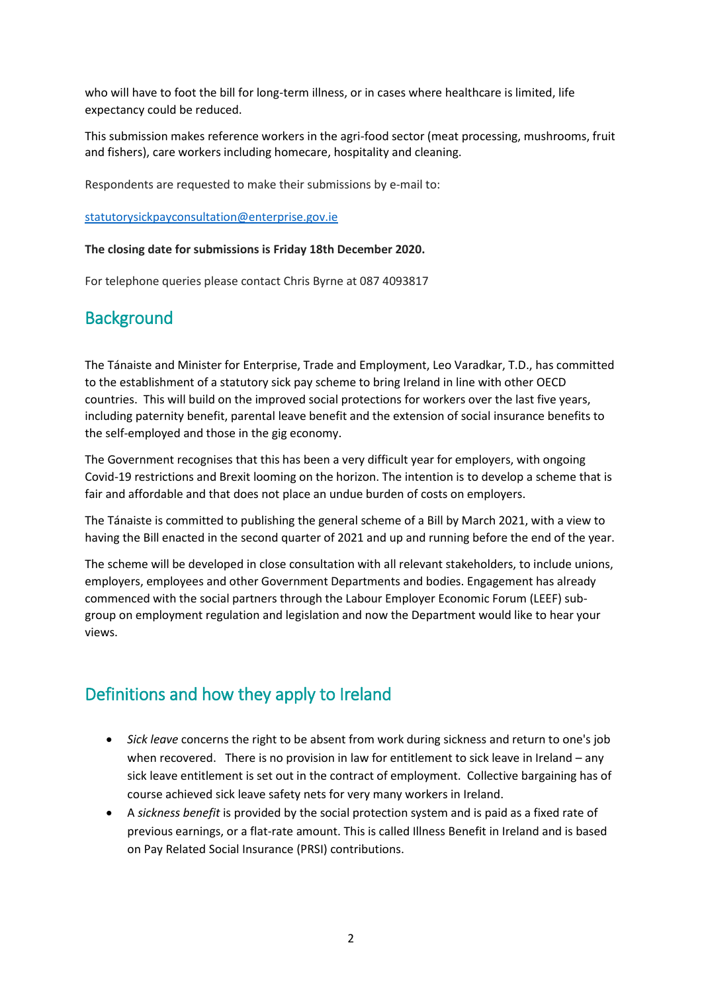who will have to foot the bill for long-term illness, or in cases where healthcare is limited, life expectancy could be reduced.

This submission makes reference workers in the agri-food sector (meat processing, mushrooms, fruit and fishers), care workers including homecare, hospitality and cleaning.

Respondents are requested to make their submissions by e-mail to:

#### [statutorysickpayconsultation@enterprise.gov.ie](mailto:statutorysickpayconsultation@enterprise.gov.ie)

#### **The closing date for submissions is Friday 18th December 2020.**

For telephone queries please contact Chris Byrne at 087 4093817

#### **Background**

The Tánaiste and Minister for Enterprise, Trade and Employment, Leo Varadkar, T.D., has committed to the establishment of a statutory sick pay scheme to bring Ireland in line with other OECD countries. This will build on the improved social protections for workers over the last five years, including paternity benefit, parental leave benefit and the extension of social insurance benefits to the self-employed and those in the gig economy.

The Government recognises that this has been a very difficult year for employers, with ongoing Covid-19 restrictions and Brexit looming on the horizon. The intention is to develop a scheme that is fair and affordable and that does not place an undue burden of costs on employers.

The Tánaiste is committed to publishing the general scheme of a Bill by March 2021, with a view to having the Bill enacted in the second quarter of 2021 and up and running before the end of the year.

The scheme will be developed in close consultation with all relevant stakeholders, to include unions, employers, employees and other Government Departments and bodies. Engagement has already commenced with the social partners through the Labour Employer Economic Forum (LEEF) subgroup on employment regulation and legislation and now the Department would like to hear your views.

### Definitions and how they apply to Ireland

- *Sick leave* concerns the right to be absent from work during sickness and return to one's job when recovered. There is no provision in law for entitlement to sick leave in Ireland – any sick leave entitlement is set out in the contract of employment. Collective bargaining has of course achieved sick leave safety nets for very many workers in Ireland.
- A *sickness benefit* is provided by the social protection system and is paid as a fixed rate of previous earnings, or a flat-rate amount. This is called Illness Benefit in Ireland and is based on Pay Related Social Insurance (PRSI) contributions.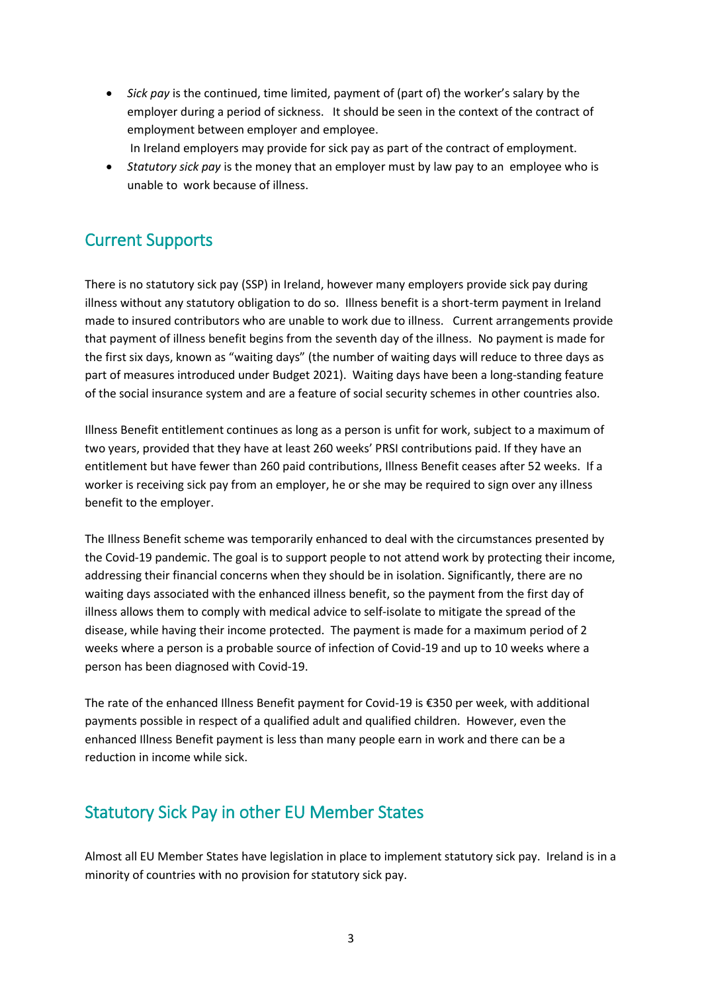- *Sick pay* is the continued, time limited, payment of (part of) the worker's salary by the employer during a period of sickness. It should be seen in the context of the contract of employment between employer and employee.
	- In Ireland employers may provide for sick pay as part of the contract of employment.
- *Statutory sick pay* is the money that an employer must by law pay to an employee who is unable to work because of illness.

#### Current Supports

There is no statutory sick pay (SSP) in Ireland, however many employers provide sick pay during illness without any statutory obligation to do so. Illness benefit is a short-term payment in Ireland made to insured contributors who are unable to work due to illness. Current arrangements provide that payment of illness benefit begins from the seventh day of the illness. No payment is made for the first six days, known as "waiting days" (the number of waiting days will reduce to three days as part of measures introduced under Budget 2021). Waiting days have been a long-standing feature of the social insurance system and are a feature of social security schemes in other countries also.

Illness Benefit entitlement continues as long as a person is unfit for work, subject to a maximum of two years, provided that they have at least 260 weeks' PRSI contributions paid. If they have an entitlement but have fewer than 260 paid contributions, Illness Benefit ceases after 52 weeks. If a worker is receiving sick pay from an employer, he or she may be required to sign over any illness benefit to the employer.

The Illness Benefit scheme was temporarily enhanced to deal with the circumstances presented by the Covid-19 pandemic. The goal is to support people to not attend work by protecting their income, addressing their financial concerns when they should be in isolation. Significantly, there are no waiting days associated with the enhanced illness benefit, so the payment from the first day of illness allows them to comply with medical advice to self-isolate to mitigate the spread of the disease, while having their income protected. The payment is made for a maximum period of 2 weeks where a person is a probable source of infection of Covid-19 and up to 10 weeks where a person has been diagnosed with Covid-19.

The rate of the enhanced Illness Benefit payment for Covid-19 is €350 per week, with additional payments possible in respect of a qualified adult and qualified children. However, even the enhanced Illness Benefit payment is less than many people earn in work and there can be a reduction in income while sick.

#### Statutory Sick Pay in other EU Member States

Almost all EU Member States have legislation in place to implement statutory sick pay. Ireland is in a minority of countries with no provision for statutory sick pay.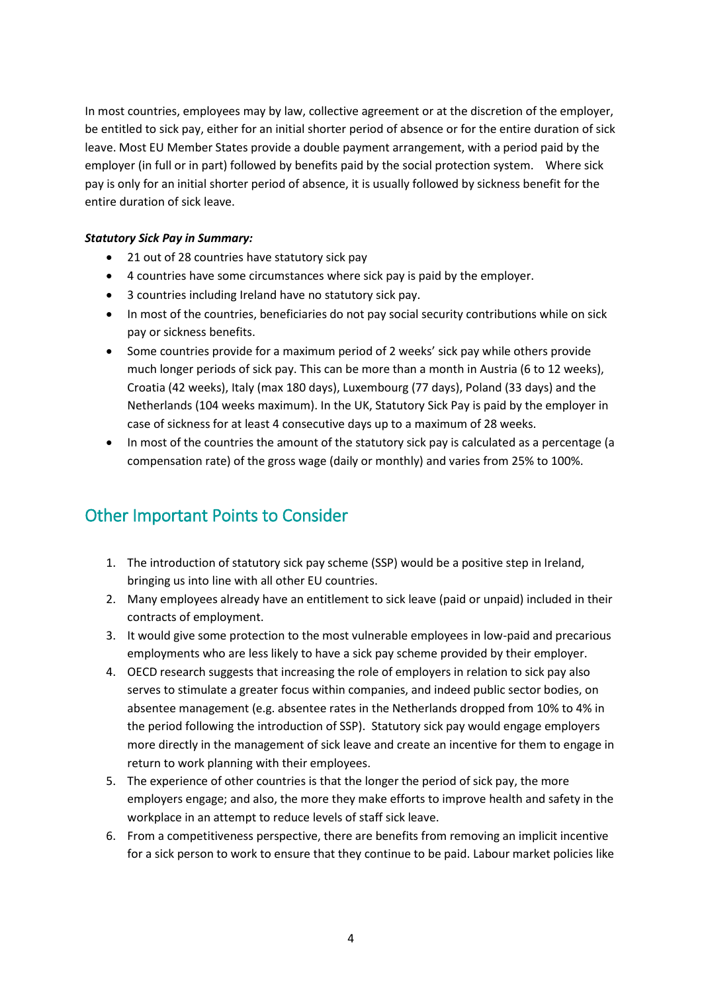In most countries, employees may by law, collective agreement or at the discretion of the employer, be entitled to sick pay, either for an initial shorter period of absence or for the entire duration of sick leave. Most EU Member States provide a double payment arrangement, with a period paid by the employer (in full or in part) followed by benefits paid by the social protection system. Where sick pay is only for an initial shorter period of absence, it is usually followed by sickness benefit for the entire duration of sick leave.

#### *Statutory Sick Pay in Summary:*

- 21 out of 28 countries have statutory sick pay
- 4 countries have some circumstances where sick pay is paid by the employer.
- 3 countries including Ireland have no statutory sick pay.
- In most of the countries, beneficiaries do not pay social security contributions while on sick pay or sickness benefits.
- Some countries provide for a maximum period of 2 weeks' sick pay while others provide much longer periods of sick pay. This can be more than a month in Austria (6 to 12 weeks), Croatia (42 weeks), Italy (max 180 days), Luxembourg (77 days), Poland (33 days) and the Netherlands (104 weeks maximum). In the UK, Statutory Sick Pay is paid by the employer in case of sickness for at least 4 consecutive days up to a maximum of 28 weeks.
- In most of the countries the amount of the statutory sick pay is calculated as a percentage (a compensation rate) of the gross wage (daily or monthly) and varies from 25% to 100%.

### Other Important Points to Consider

- 1. The introduction of statutory sick pay scheme (SSP) would be a positive step in Ireland, bringing us into line with all other EU countries.
- 2. Many employees already have an entitlement to sick leave (paid or unpaid) included in their contracts of employment.
- 3. It would give some protection to the most vulnerable employees in low-paid and precarious employments who are less likely to have a sick pay scheme provided by their employer.
- 4. OECD research suggests that increasing the role of employers in relation to sick pay also serves to stimulate a greater focus within companies, and indeed public sector bodies, on absentee management (e.g. absentee rates in the Netherlands dropped from 10% to 4% in the period following the introduction of SSP). Statutory sick pay would engage employers more directly in the management of sick leave and create an incentive for them to engage in return to work planning with their employees.
- 5. The experience of other countries is that the longer the period of sick pay, the more employers engage; and also, the more they make efforts to improve health and safety in the workplace in an attempt to reduce levels of staff sick leave.
- 6. From a competitiveness perspective, there are benefits from removing an implicit incentive for a sick person to work to ensure that they continue to be paid. Labour market policies like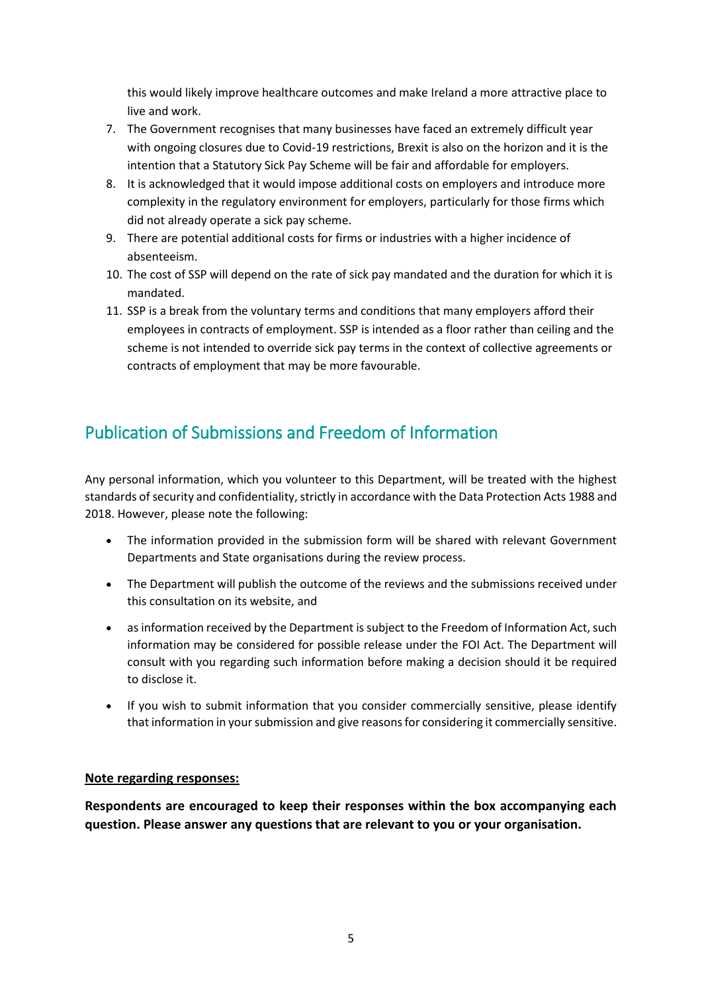this would likely improve healthcare outcomes and make Ireland a more attractive place to live and work.

- 7. The Government recognises that many businesses have faced an extremely difficult year with ongoing closures due to Covid-19 restrictions, Brexit is also on the horizon and it is the intention that a Statutory Sick Pay Scheme will be fair and affordable for employers.
- 8. It is acknowledged that it would impose additional costs on employers and introduce more complexity in the regulatory environment for employers, particularly for those firms which did not already operate a sick pay scheme.
- 9. There are potential additional costs for firms or industries with a higher incidence of absenteeism.
- 10. The cost of SSP will depend on the rate of sick pay mandated and the duration for which it is mandated.
- 11. SSP is a break from the voluntary terms and conditions that many employers afford their employees in contracts of employment. SSP is intended as a floor rather than ceiling and the scheme is not intended to override sick pay terms in the context of collective agreements or contracts of employment that may be more favourable.

# Publication of Submissions and Freedom of Information

Any personal information, which you volunteer to this Department, will be treated with the highest standards of security and confidentiality, strictly in accordance with the Data Protection Acts 1988 and 2018. However, please note the following:

- The information provided in the submission form will be shared with relevant Government Departments and State organisations during the review process.
- The Department will publish the outcome of the reviews and the submissions received under this consultation on its website, and
- as information received by the Department is subject to the Freedom of Information Act, such information may be considered for possible release under the FOI Act. The Department will consult with you regarding such information before making a decision should it be required to disclose it.
- If you wish to submit information that you consider commercially sensitive, please identify that information in your submission and give reasons for considering it commercially sensitive.

#### **Note regarding responses:**

**Respondents are encouraged to keep their responses within the box accompanying each question. Please answer any questions that are relevant to you or your organisation.**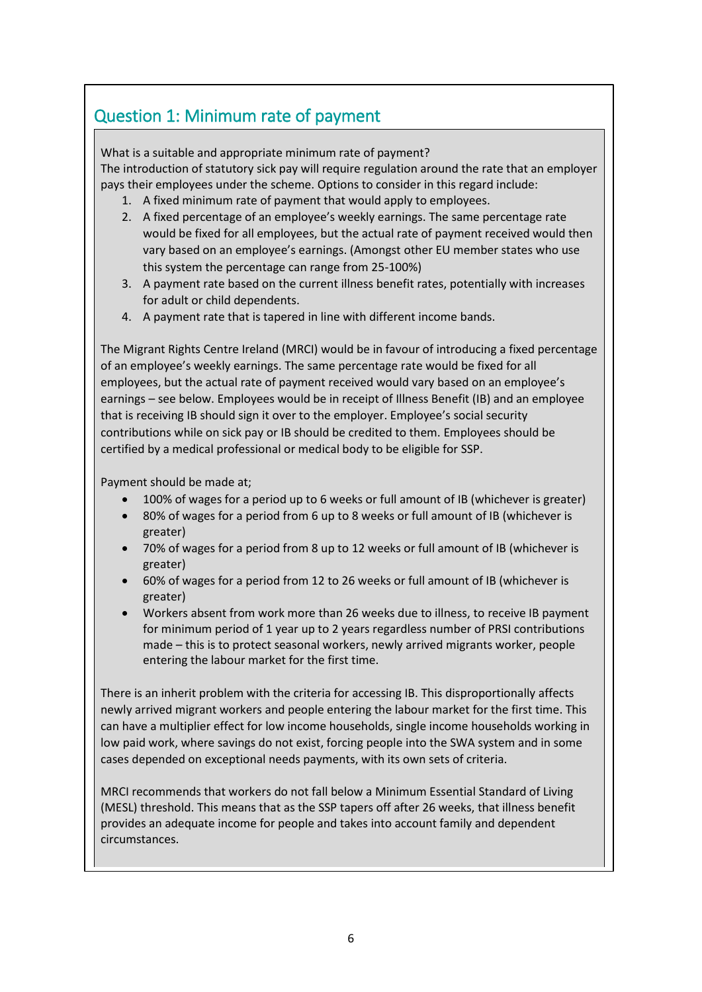# Question 1: Minimum rate of payment

What is a suitable and appropriate minimum rate of payment? The introduction of statutory sick pay will require regulation around the rate that an employer pays their employees under the scheme. Options to consider in this regard include:

- 1. A fixed minimum rate of payment that would apply to employees.
- 2. A fixed percentage of an employee's weekly earnings. The same percentage rate would be fixed for all employees, but the actual rate of payment received would then vary based on an employee's earnings. (Amongst other EU member states who use this system the percentage can range from 25-100%)
- 3. A payment rate based on the current illness benefit rates, potentially with increases for adult or child dependents.
- 4. A payment rate that is tapered in line with different income bands.

The Migrant Rights Centre Ireland (MRCI) would be in favour of introducing a fixed percentage of an employee's weekly earnings. The same percentage rate would be fixed for all employees, but the actual rate of payment received would vary based on an employee's earnings – see below. Employees would be in receipt of Illness Benefit (IB) and an employee that is receiving IB should sign it over to the employer. Employee's social security contributions while on sick pay or IB should be credited to them. Employees should be certified by a medical professional or medical body to be eligible for SSP.

Payment should be made at;

- 100% of wages for a period up to 6 weeks or full amount of IB (whichever is greater)
- 80% of wages for a period from 6 up to 8 weeks or full amount of IB (whichever is greater)
- 70% of wages for a period from 8 up to 12 weeks or full amount of IB (whichever is greater)
- 60% of wages for a period from 12 to 26 weeks or full amount of IB (whichever is greater)
- Workers absent from work more than 26 weeks due to illness, to receive IB payment for minimum period of 1 year up to 2 years regardless number of PRSI contributions made – this is to protect seasonal workers, newly arrived migrants worker, people entering the labour market for the first time.

There is an inherit problem with the criteria for accessing IB. This disproportionally affects newly arrived migrant workers and people entering the labour market for the first time. This can have a multiplier effect for low income households, single income households working in low paid work, where savings do not exist, forcing people into the SWA system and in some cases depended on exceptional needs payments, with its own sets of criteria.

MRCI recommends that workers do not fall below a Minimum Essential Standard of Living (MESL) threshold. This means that as the SSP tapers off after 26 weeks, that illness benefit provides an adequate income for people and takes into account family and dependent circumstances.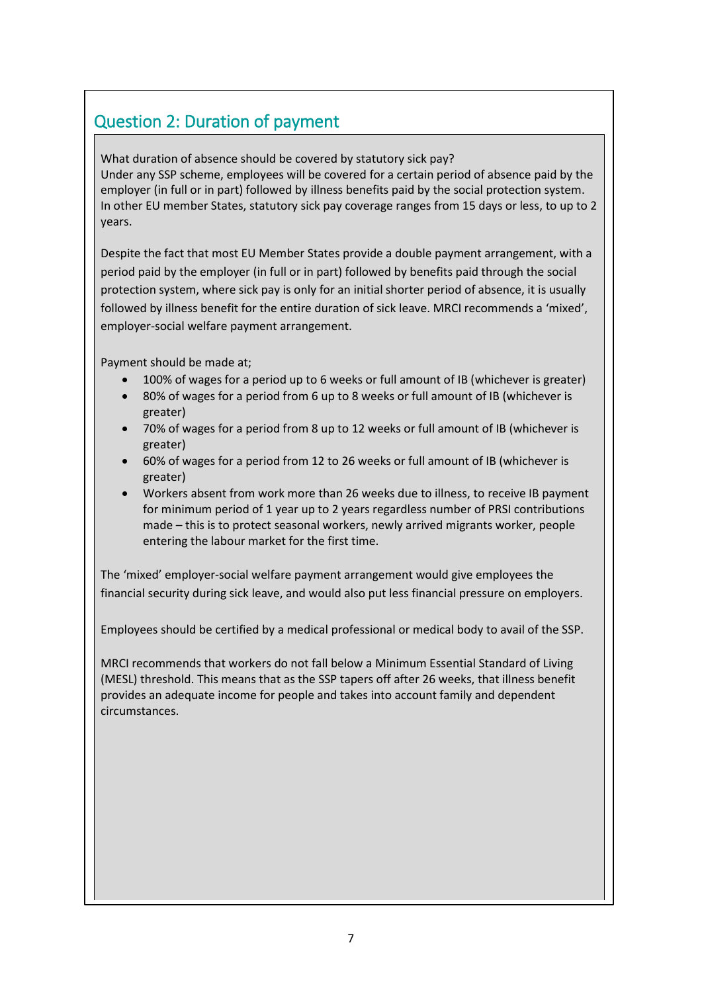# Question 2: Duration of payment

What duration of absence should be covered by statutory sick pay? Under any SSP scheme, employees will be covered for a certain period of absence paid by the employer (in full or in part) followed by illness benefits paid by the social protection system. In other EU member States, statutory sick pay coverage ranges from 15 days or less, to up to 2 years.

Despite the fact that most EU Member States provide a double payment arrangement, with a period paid by the employer (in full or in part) followed by benefits paid through the social protection system, where sick pay is only for an initial shorter period of absence, it is usually followed by illness benefit for the entire duration of sick leave. MRCI recommends a 'mixed', employer-social welfare payment arrangement.

Payment should be made at;

- 100% of wages for a period up to 6 weeks or full amount of IB (whichever is greater)
- 80% of wages for a period from 6 up to 8 weeks or full amount of IB (whichever is greater)
- 70% of wages for a period from 8 up to 12 weeks or full amount of IB (whichever is greater)
- 60% of wages for a period from 12 to 26 weeks or full amount of IB (whichever is greater)
- Workers absent from work more than 26 weeks due to illness, to receive IB payment for minimum period of 1 year up to 2 years regardless number of PRSI contributions made – this is to protect seasonal workers, newly arrived migrants worker, people entering the labour market for the first time.

The 'mixed' employer-social welfare payment arrangement would give employees the financial security during sick leave, and would also put less financial pressure on employers.

Employees should be certified by a medical professional or medical body to avail of the SSP.

MRCI recommends that workers do not fall below a Minimum Essential Standard of Living (MESL) threshold. This means that as the SSP tapers off after 26 weeks, that illness benefit provides an adequate income for people and takes into account family and dependent circumstances.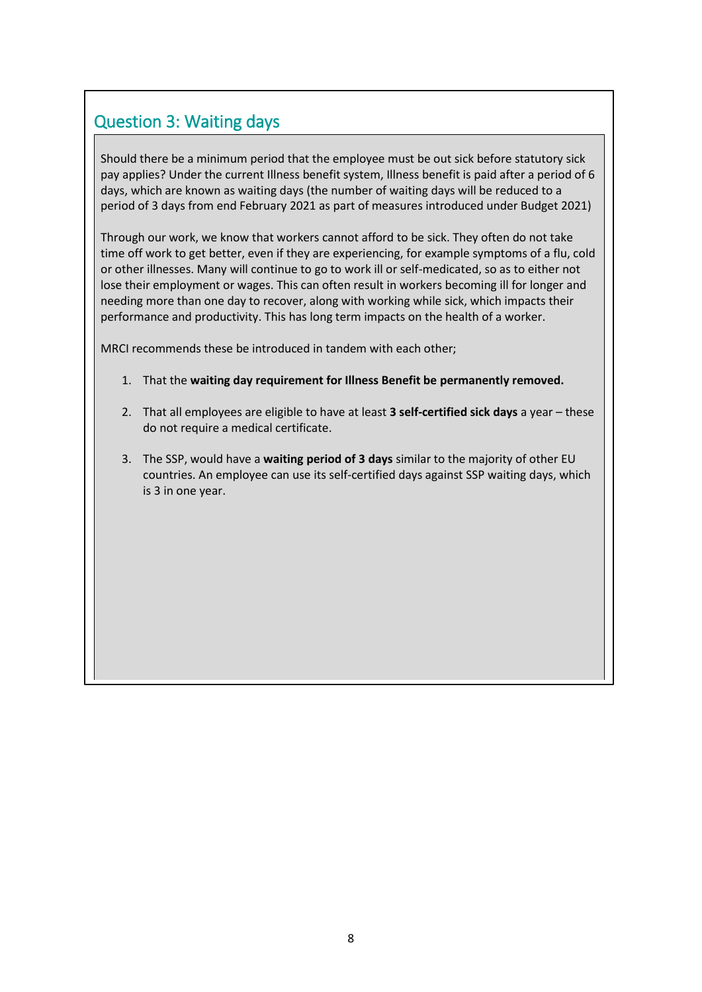# Question 3: Waiting days

Should there be a minimum period that the employee must be out sick before statutory sick pay applies? Under the current Illness benefit system, Illness benefit is paid after a period of 6 days, which are known as waiting days (the number of waiting days will be reduced to a period of 3 days from end February 2021 as part of measures introduced under Budget 2021)

Through our work, we know that workers cannot afford to be sick. They often do not take time off work to get better, even if they are experiencing, for example symptoms of a flu, cold or other illnesses. Many will continue to go to work ill or self-medicated, so as to either not lose their employment or wages. This can often result in workers becoming ill for longer and needing more than one day to recover, along with working while sick, which impacts their performance and productivity. This has long term impacts on the health of a worker.

MRCI recommends these be introduced in tandem with each other;

- 1. That the **waiting day requirement for Illness Benefit be permanently removed.**
- 2. That all employees are eligible to have at least **3 self-certified sick days** a year these do not require a medical certificate.
- 3. The SSP, would have a **waiting period of 3 days** similar to the majority of other EU countries. An employee can use its self-certified days against SSP waiting days, which is 3 in one year.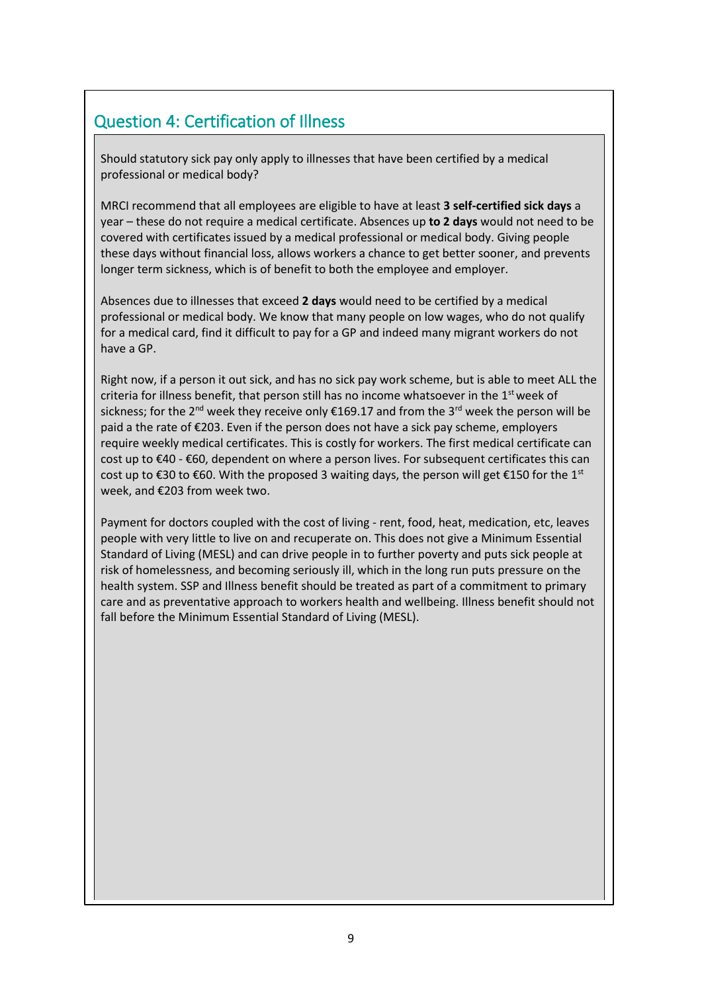# Question 4: Certification of Illness

Should statutory sick pay only apply to illnesses that have been certified by a medical professional or medical body?

MRCI recommend that all employees are eligible to have at least **3 self-certified sick days** a year – these do not require a medical certificate. Absences up **to 2 days** would not need to be covered with certificates issued by a medical professional or medical body. Giving people these days without financial loss, allows workers a chance to get better sooner, and prevents longer term sickness, which is of benefit to both the employee and employer.

Absences due to illnesses that exceed **2 days** would need to be certified by a medical professional or medical body. We know that many people on low wages, who do not qualify for a medical card, find it difficult to pay for a GP and indeed many migrant workers do not have a GP.

Right now, if a person it out sick, and has no sick pay work scheme, but is able to meet ALL the criteria for illness benefit, that person still has no income whatsoever in the  $1<sup>st</sup>$  week of sickness; for the 2<sup>nd</sup> week they receive only €169.17 and from the 3<sup>rd</sup> week the person will be paid a the rate of €203. Even if the person does not have a sick pay scheme, employers require weekly medical certificates. This is costly for workers. The first medical certificate can cost up to €40 - €60, dependent on where a person lives. For subsequent certificates this can cost up to  $\epsilon$ 30 to  $\epsilon$ 60. With the proposed 3 waiting days, the person will get  $\epsilon$ 150 for the 1<sup>st</sup> week, and €203 from week two.

Payment for doctors coupled with the cost of living - rent, food, heat, medication, etc, leaves people with very little to live on and recuperate on. This does not give a Minimum Essential Standard of Living (MESL) and can drive people in to further poverty and puts sick people at risk of homelessness, and becoming seriously ill, which in the long run puts pressure on the health system. SSP and Illness benefit should be treated as part of a commitment to primary care and as preventative approach to workers health and wellbeing. Illness benefit should not fall before the Minimum Essential Standard of Living (MESL).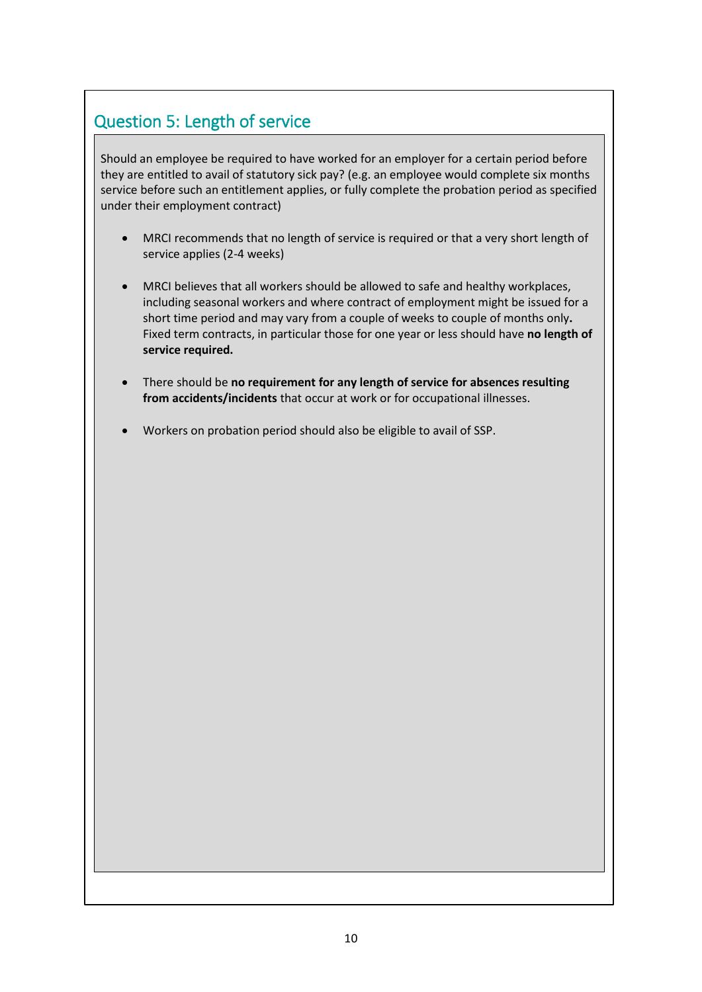# Question 5: Length of service

Should an employee be required to have worked for an employer for a certain period before they are entitled to avail of statutory sick pay? (e.g. an employee would complete six months service before such an entitlement applies, or fully complete the probation period as specified under their employment contract)

- MRCI recommends that no length of service is required or that a very short length of service applies (2-4 weeks)
- MRCI believes that all workers should be allowed to safe and healthy workplaces, including seasonal workers and where contract of employment might be issued for a short time period and may vary from a couple of weeks to couple of months only**.**  Fixed term contracts, in particular those for one year or less should have **no length of service required.**
- There should be **no requirement for any length of service for absences resulting from accidents/incidents** that occur at work or for occupational illnesses.
- Workers on probation period should also be eligible to avail of SSP.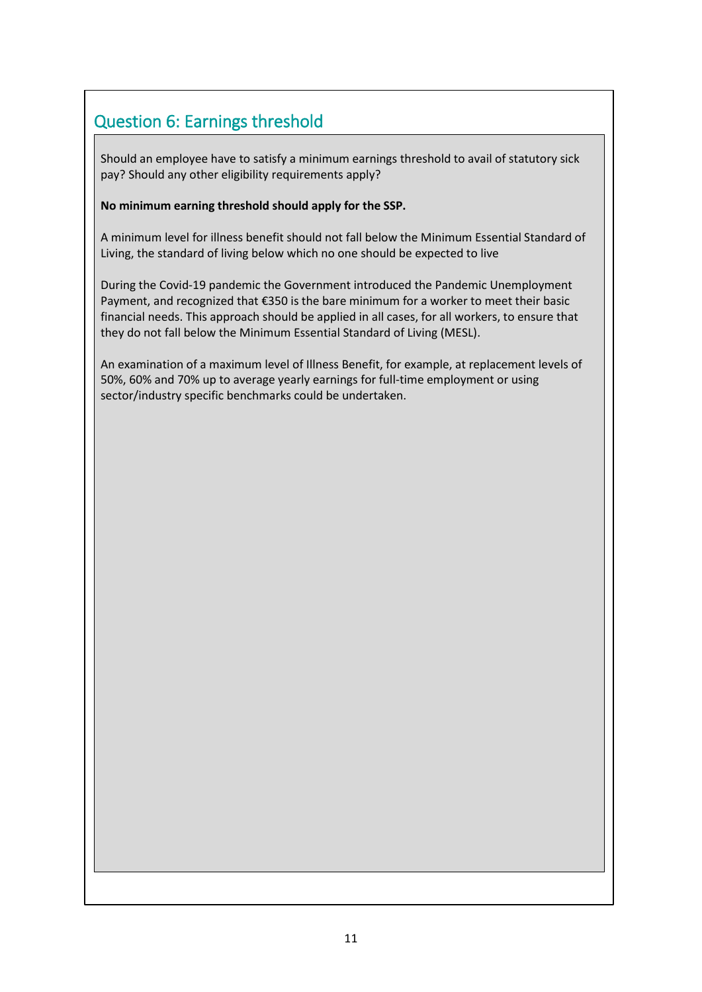# Question 6: Earnings threshold

Should an employee have to satisfy a minimum earnings threshold to avail of statutory sick pay? Should any other eligibility requirements apply?

#### **No minimum earning threshold should apply for the SSP.**

A minimum level for illness benefit should not fall below the Minimum Essential Standard of Living, the standard of living below which no one should be expected to live

During the Covid-19 pandemic the Government introduced the Pandemic Unemployment Payment, and recognized that €350 is the bare minimum for a worker to meet their basic financial needs. This approach should be applied in all cases, for all workers, to ensure that they do not fall below the Minimum Essential Standard of Living (MESL).

An examination of a maximum level of Illness Benefit, for example, at replacement levels of 50%, 60% and 70% up to average yearly earnings for full-time employment or using sector/industry specific benchmarks could be undertaken.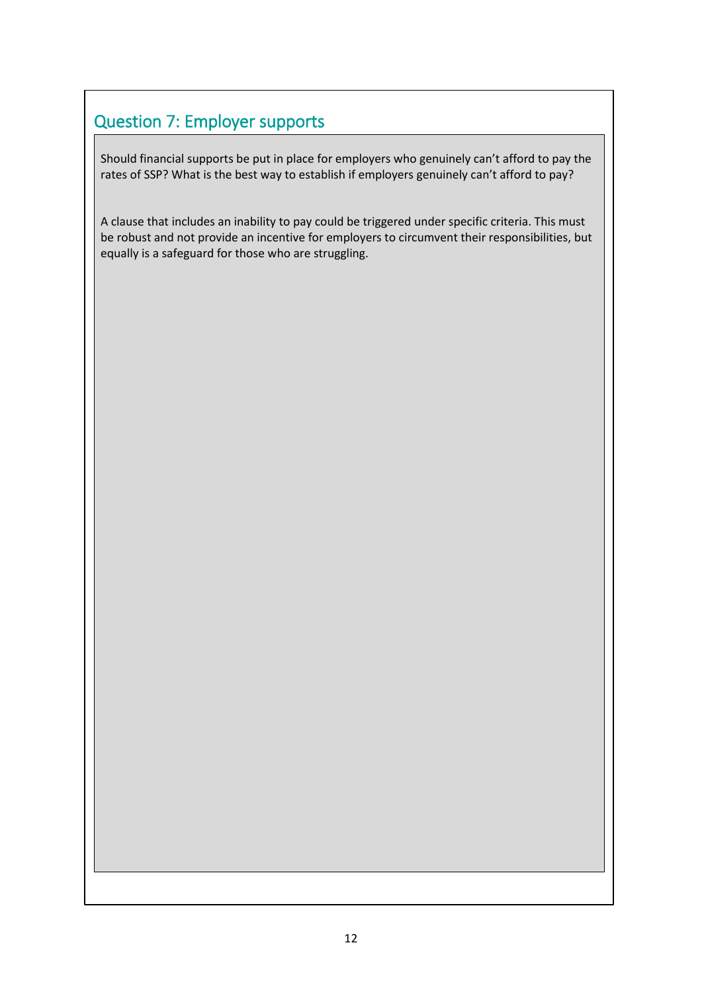# Question 7: Employer supports

Should financial supports be put in place for employers who genuinely can't afford to pay the rates of SSP? What is the best way to establish if employers genuinely can't afford to pay?

A clause that includes an inability to pay could be triggered under specific criteria. This must be robust and not provide an incentive for employers to circumvent their responsibilities, but equally is a safeguard for those who are struggling.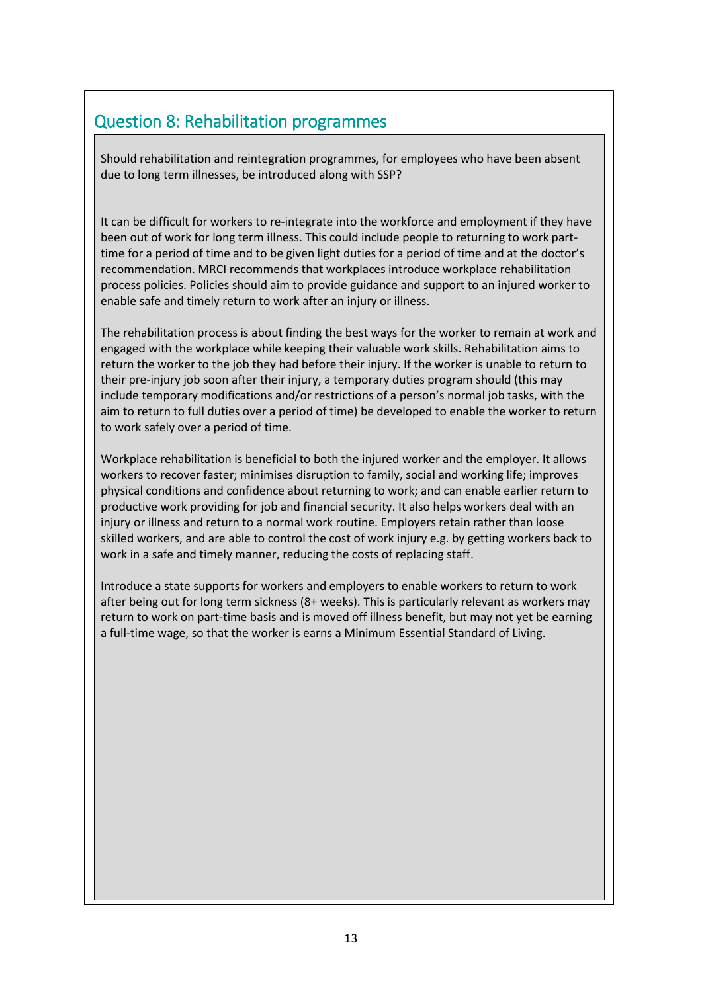### Question 8: Rehabilitation programmes

Should rehabilitation and reintegration programmes, for employees who have been absent due to long term illnesses, be introduced along with SSP?

It can be difficult for workers to re-integrate into the workforce and employment if they have been out of work for long term illness. This could include people to returning to work parttime for a period of time and to be given light duties for a period of time and at the doctor's recommendation. MRCI recommends that workplaces introduce workplace rehabilitation process policies. Policies should aim to provide guidance and support to an injured worker to enable safe and timely return to work after an injury or illness.

The rehabilitation process is about finding the best ways for the worker to remain at work and engaged with the workplace while keeping their valuable work skills. Rehabilitation aims to return the worker to the job they had before their injury. If the worker is unable to return to their pre-injury job soon after their injury, a temporary duties program should (this may include temporary modifications and/or restrictions of a person's normal job tasks, with the aim to return to full duties over a period of time) be developed to enable the worker to return to work safely over a period of time.

Workplace rehabilitation is beneficial to both the injured worker and the employer. It allows workers to recover faster; minimises disruption to family, social and working life; improves physical conditions and confidence about returning to work; and can enable earlier return to productive work providing for job and financial security. It also helps workers deal with an injury or illness and return to a normal work routine. Employers retain rather than loose skilled workers, and are able to control the cost of work injury e.g. by getting workers back to work in a safe and timely manner, reducing the costs of replacing staff.

Introduce a state supports for workers and employers to enable workers to return to work after being out for long term sickness (8+ weeks). This is particularly relevant as workers may return to work on part-time basis and is moved off illness benefit, but may not yet be earning a full-time wage, so that the worker is earns a Minimum Essential Standard of Living.